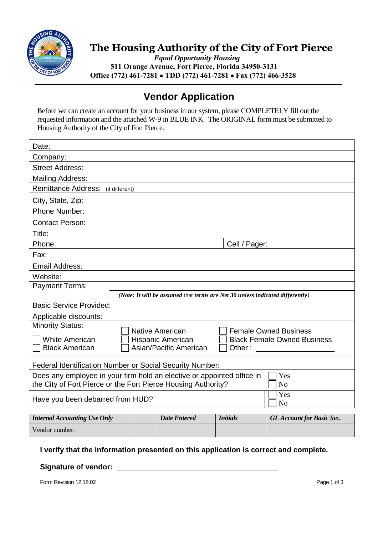

# **The Housing Authority of the City of Fort Pierce**

*Equal Opportunity Housing* **511 Orange Avenue, Fort Pierce, Florida 34950-3131 Office (772) 461-7281 TDD (772) 461-7281 Fax (772) 466-3528**

## **Vendor Application**

Before we can create an account for your business in our system, please COMPLETELY fill out the requested information and the attached W-9 in BLUE INK. The ORIGINAL form must be submitted to Housing Authority of the City of Fort Pierce.

| Date:                                                                                                                                                            |  |                                                                               |                 |                                    |  |  |
|------------------------------------------------------------------------------------------------------------------------------------------------------------------|--|-------------------------------------------------------------------------------|-----------------|------------------------------------|--|--|
| Company:                                                                                                                                                         |  |                                                                               |                 |                                    |  |  |
| <b>Street Address:</b>                                                                                                                                           |  |                                                                               |                 |                                    |  |  |
| <b>Mailing Address:</b>                                                                                                                                          |  |                                                                               |                 |                                    |  |  |
| Remittance Address: (if different)                                                                                                                               |  |                                                                               |                 |                                    |  |  |
| City, State, Zip:                                                                                                                                                |  |                                                                               |                 |                                    |  |  |
| Phone Number:                                                                                                                                                    |  |                                                                               |                 |                                    |  |  |
| <b>Contact Person:</b>                                                                                                                                           |  |                                                                               |                 |                                    |  |  |
| Title:                                                                                                                                                           |  |                                                                               |                 |                                    |  |  |
| Phone:                                                                                                                                                           |  | Cell / Pager:                                                                 |                 |                                    |  |  |
| Fax:                                                                                                                                                             |  |                                                                               |                 |                                    |  |  |
| Email Address:                                                                                                                                                   |  |                                                                               |                 |                                    |  |  |
| Website:                                                                                                                                                         |  |                                                                               |                 |                                    |  |  |
| <b>Payment Terms:</b>                                                                                                                                            |  |                                                                               |                 |                                    |  |  |
|                                                                                                                                                                  |  | (Note: It will be assumed that terms are Net 30 unless indicated differently) |                 |                                    |  |  |
| <b>Basic Service Provided:</b>                                                                                                                                   |  |                                                                               |                 |                                    |  |  |
| Applicable discounts:                                                                                                                                            |  |                                                                               |                 |                                    |  |  |
| <b>Minority Status:</b>                                                                                                                                          |  | <b>Native American</b>                                                        |                 | <b>Female Owned Business</b>       |  |  |
| <b>White American</b>                                                                                                                                            |  | Hispanic American                                                             |                 | <b>Black Female Owned Business</b> |  |  |
| <b>Black American</b>                                                                                                                                            |  | Asian/Pacific American                                                        | Other:          |                                    |  |  |
|                                                                                                                                                                  |  |                                                                               |                 |                                    |  |  |
| Federal Identification Number or Social Security Number:                                                                                                         |  |                                                                               |                 |                                    |  |  |
| Does any employee in your firm hold an elective or appointed office in<br>Yes<br>the City of Fort Pierce or the Fort Pierce Housing Authority?<br>N <sub>o</sub> |  |                                                                               |                 |                                    |  |  |
| Yes<br>Have you been debarred from HUD?<br>N <sub>o</sub>                                                                                                        |  |                                                                               |                 |                                    |  |  |
| <b>Internal Accounting Use Only</b>                                                                                                                              |  | <b>Date Entered</b>                                                           | <b>Initials</b> | <b>GL Account for Basic Svc.</b>   |  |  |
| Vendor number:                                                                                                                                                   |  |                                                                               |                 |                                    |  |  |

### **I verify that the information presented on this application is correct and complete.**

#### Signature of vendor: \_\_\_\_\_\_\_\_\_

Form Revision 12.18.02 Page 1 of 3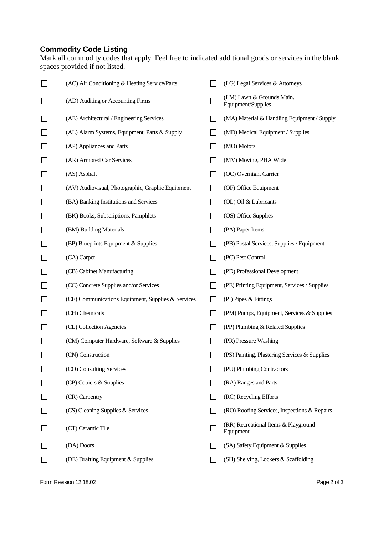### **Commodity Code Listing**

Mark all commodity codes that apply. Feel free to indicated additional goods or services in the blank spaces provided if not listed.

| (AC) Air Conditioning & Heating Service/Parts      |                | (LG) Legal Services & Attorneys                   |
|----------------------------------------------------|----------------|---------------------------------------------------|
| (AD) Auditing or Accounting Firms                  |                | (LM) Lawn & Grounds Main.<br>Equipment/Supplies   |
| (AE) Architectural / Engineering Services          | $\blacksquare$ | (MA) Material & Handling Equipment / Supply       |
| (AL) Alarm Systems, Equipment, Parts & Supply      |                | (MD) Medical Equipment / Supplies                 |
| (AP) Appliances and Parts                          |                | (MO) Motors                                       |
| (AR) Armored Car Services                          |                | (MV) Moving, PHA Wide                             |
| (AS) Asphalt                                       |                | (OC) Overnight Carrier                            |
| (AV) Audiovisual, Photographic, Graphic Equipment  |                | (OF) Office Equipment                             |
| (BA) Banking Institutions and Services             |                | (OL) Oil & Lubricants                             |
| (BK) Books, Subscriptions, Pamphlets               |                | (OS) Office Supplies                              |
| (BM) Building Materials                            |                | (PA) Paper Items                                  |
| (BP) Blueprints Equipment & Supplies               |                | (PB) Postal Services, Supplies / Equipment        |
| (CA) Carpet                                        | $\blacksquare$ | (PC) Pest Control                                 |
| (CB) Cabinet Manufacturing                         |                | (PD) Professional Development                     |
| (CC) Concrete Supplies and/or Services             |                | (PE) Printing Equipment, Services / Supplies      |
| (CE) Communications Equipment, Supplies & Services | $\blacksquare$ | (PI) Pipes & Fittings                             |
| (CH) Chemicals                                     |                | (PM) Pumps, Equipment, Services & Supplies        |
| (CL) Collection Agencies                           |                | (PP) Plumbing & Related Supplies                  |
| (CM) Computer Hardware, Software & Supplies        |                | (PR) Pressure Washing                             |
| (CN) Construction                                  |                | (PS) Painting, Plastering Services & Supplies     |
| (CO) Consulting Services                           |                | (PU) Plumbing Contractors                         |
| (CP) Copiers & Supplies                            |                | (RA) Ranges and Parts                             |
| (CR) Carpentry                                     |                | (RC) Recycling Efforts                            |
| (CS) Cleaning Supplies & Services                  |                | (RO) Roofing Services, Inspections & Repairs      |
| (CT) Ceramic Tile                                  |                | (RR) Recreational Items & Playground<br>Equipment |
| (DA) Doors                                         |                | (SA) Safety Equipment & Supplies                  |
| (DE) Drafting Equipment & Supplies                 |                | (SH) Shelving, Lockers & Scaffolding              |